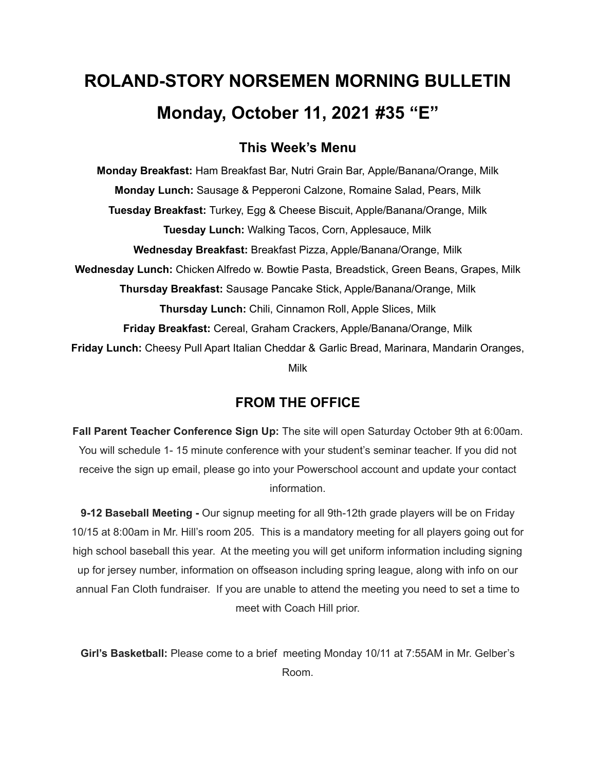# **ROLAND-STORY NORSEMEN MORNING BULLETIN Monday, October 11, 2021 #35 "E"**

# **This Week's Menu**

**Monday Breakfast:** Ham Breakfast Bar, Nutri Grain Bar, Apple/Banana/Orange, Milk **Monday Lunch:** Sausage & Pepperoni Calzone, Romaine Salad, Pears, Milk **Tuesday Breakfast:** Turkey, Egg & Cheese Biscuit, Apple/Banana/Orange, Milk **Tuesday Lunch:** Walking Tacos, Corn, Applesauce, Milk **Wednesday Breakfast:** Breakfast Pizza, Apple/Banana/Orange, Milk **Wednesday Lunch:** Chicken Alfredo w. Bowtie Pasta, Breadstick, Green Beans, Grapes, Milk **Thursday Breakfast:** Sausage Pancake Stick, Apple/Banana/Orange, Milk **Thursday Lunch:** Chili, Cinnamon Roll, Apple Slices, Milk **Friday Breakfast:** Cereal, Graham Crackers, Apple/Banana/Orange, Milk **Friday Lunch:** Cheesy Pull Apart Italian Cheddar & Garlic Bread, Marinara, Mandarin Oranges, Milk

## **FROM THE OFFICE**

**Fall Parent Teacher Conference Sign Up:** The site will open Saturday October 9th at 6:00am. You will schedule 1- 15 minute conference with your student's seminar teacher. If you did not receive the sign up email, please go into your Powerschool account and update your contact information.

**9-12 Baseball Meeting -** Our signup meeting for all 9th-12th grade players will be on Friday 10/15 at 8:00am in Mr. Hill's room 205. This is a mandatory meeting for all players going out for high school baseball this year. At the meeting you will get uniform information including signing up for jersey number, information on offseason including spring league, along with info on our annual Fan Cloth fundraiser. If you are unable to attend the meeting you need to set a time to meet with Coach Hill prior.

**Girl's Basketball:** Please come to a brief meeting Monday 10/11 at 7:55AM in Mr. Gelber's Room.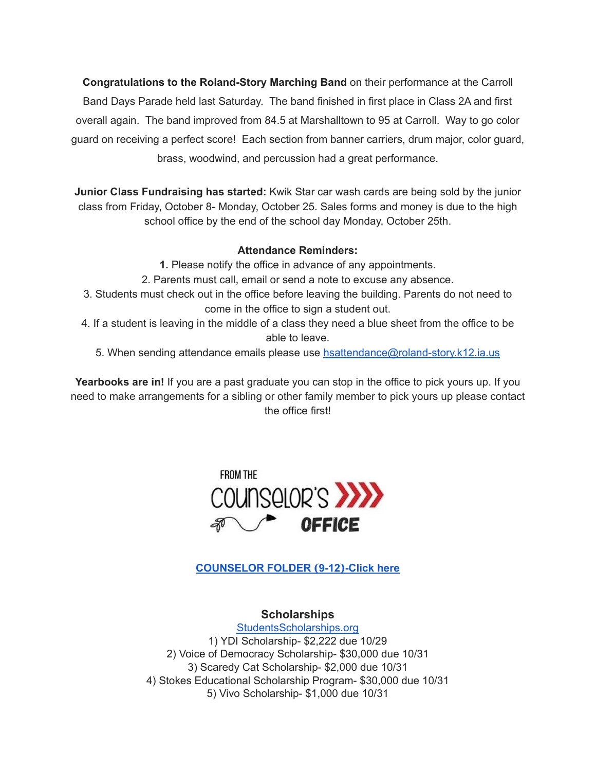**Congratulations to the Roland-Story Marching Band** on their performance at the Carroll Band Days Parade held last Saturday. The band finished in first place in Class 2A and first overall again. The band improved from 84.5 at Marshalltown to 95 at Carroll. Way to go color guard on receiving a perfect score! Each section from banner carriers, drum major, color guard, brass, woodwind, and percussion had a great performance.

**Junior Class Fundraising has started:** Kwik Star car wash cards are being sold by the junior class from Friday, October 8- Monday, October 25. Sales forms and money is due to the high school office by the end of the school day Monday, October 25th.

#### **Attendance Reminders:**

- **1.** Please notify the office in advance of any appointments.
- 2. Parents must call, email or send a note to excuse any absence.
- 3. Students must check out in the office before leaving the building. Parents do not need to come in the office to sign a student out.
- 4. If a student is leaving in the middle of a class they need a blue sheet from the office to be able to leave.
	- 5. When sending attendance emails please use [hsattendance@roland-story.k12.ia.us](mailto:hsattendance@roland-story.k12.ia.us)

**Yearbooks are in!** If you are a past graduate you can stop in the office to pick yours up. If you need to make arrangements for a sibling or other family member to pick yours up please contact the office first!



**[COUNSELOR](https://docs.google.com/document/d/1vmwczNPbDzXe9vFaG5LJMQ7NYDv-i4oQJHybqA65TUc/edit?usp=sharing) FOLDER (9-12)-Click here**

**Scholarships** [StudentsScholarships.org](https://drive.google.com/file/d/1qbbp7lqeWGlW0ouOHrSolpv8U_P4g6cU/view) 1) YDI Scholarship- \$2,222 due 10/29 2) Voice of Democracy Scholarship- \$30,000 due 10/31 3) Scaredy Cat Scholarship- \$2,000 due 10/31 4) Stokes Educational Scholarship Program- \$30,000 due 10/31 5) Vivo Scholarship- \$1,000 due 10/31